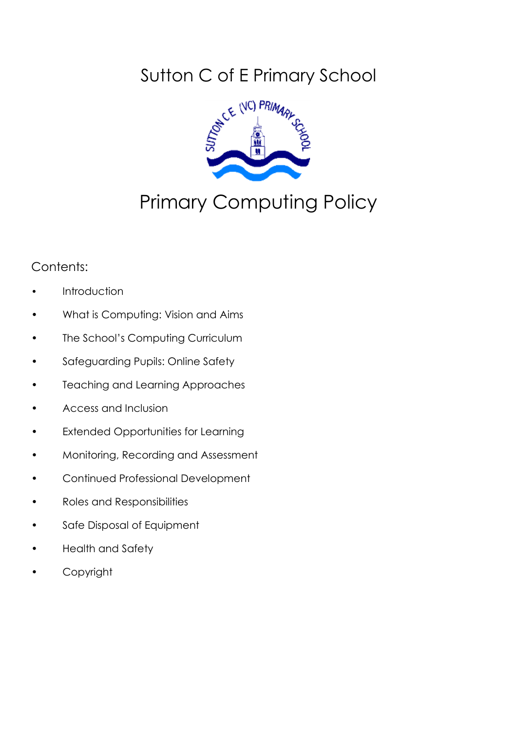## Sutton C of E Primary School



# Primary Computing Policy

## Contents:

- **Introduction**
- What is Computing: Vision and Aims
- The School's Computing Curriculum
- Safeguarding Pupils: Online Safety
- Teaching and Learning Approaches
- Access and Inclusion
- Extended Opportunities for Learning
- Monitoring, Recording and Assessment
- Continued Professional Development
- Roles and Responsibilities
- Safe Disposal of Equipment
- Health and Safety
- **Copyright**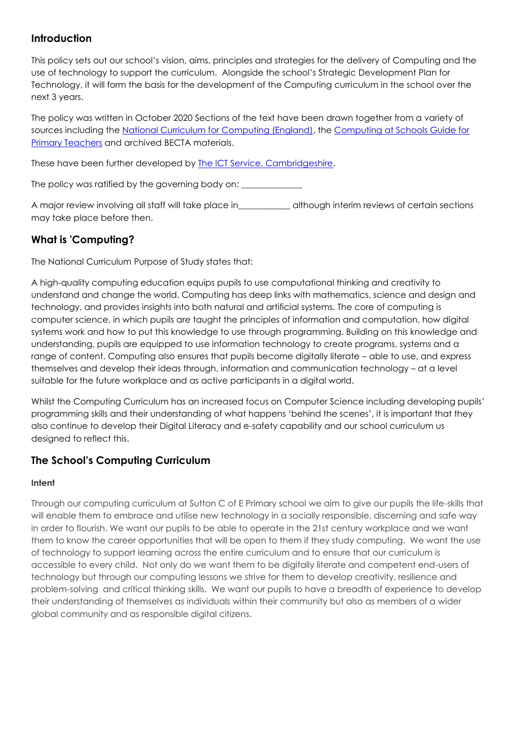### **Introduction**

This policy sets out our school's vision, aims, principles and strategies for the delivery of Computing and the use of technology to support the curriculum. Alongside the school's Strategic Development Plan for Technology, it will form the basis for the development of the Computing curriculum in the school over the next 3 years.

The policy was written in October 2020 Sections of the text have been drawn together from a variety of sources including the [National Curriculum for Computing \(England\),](https://www.gov.uk/government/publications/national-curriculum-in-england-computing-programmes-of-study) the Computing at Schools Guide for [Primary Teachers](https://www.gov.uk/government/publications/national-curriculum-in-england-computing-programmes-of-study) and archived BECTA materials.

These have been further developed by [The ICT Service, Cambridgeshire.](http://www.theictservice.org.uk/)

The policy was ratified by the governing body on:

A major review involving all staff will take place in\_\_\_\_\_\_\_\_\_\_\_\_ although interim reviews of certain sections may take place before then.

## **What is 'Computing?**

The National Curriculum Purpose of Study states that:

A high-quality computing education equips pupils to use computational thinking and creativity to understand and change the world. Computing has deep links with mathematics, science and design and technology, and provides insights into both natural and artificial systems. The core of computing is computer science, in which pupils are taught the principles of information and computation, how digital systems work and how to put this knowledge to use through programming. Building on this knowledge and understanding, pupils are equipped to use information technology to create programs, systems and a range of content. Computing also ensures that pupils become digitally literate – able to use, and express themselves and develop their ideas through, information and communication technology – at a level suitable for the future workplace and as active participants in a digital world.

Whilst the Computing Curriculum has an increased focus on Computer Science including developing pupils' programming skills and their understanding of what happens 'behind the scenes', it is important that they also continue to develop their Digital Literacy and e-safety capability and our school curriculum us designed to reflect this.

#### **The School's Computing Curriculum**

#### **Intent**

Through our computing curriculum at Sutton C of E Primary school we aim to give our pupils the life-skills that will enable them to embrace and utilise new technology in a socially responsible, discerning and safe way in order to flourish. We want our pupils to be able to operate in the 21st century workplace and we want them to know the career opportunities that will be open to them if they study computing. We want the use of technology to support learning across the entire curriculum and to ensure that our curriculum is accessible to every child. Not only do we want them to be digitally literate and competent end-users of technology but through our computing lessons we strive for them to develop creativity, resilience and problem-solving and critical thinking skills. We want our pupils to have a breadth of experience to develop their understanding of themselves as individuals within their community but also as members of a wider global community and as responsible digital citizens.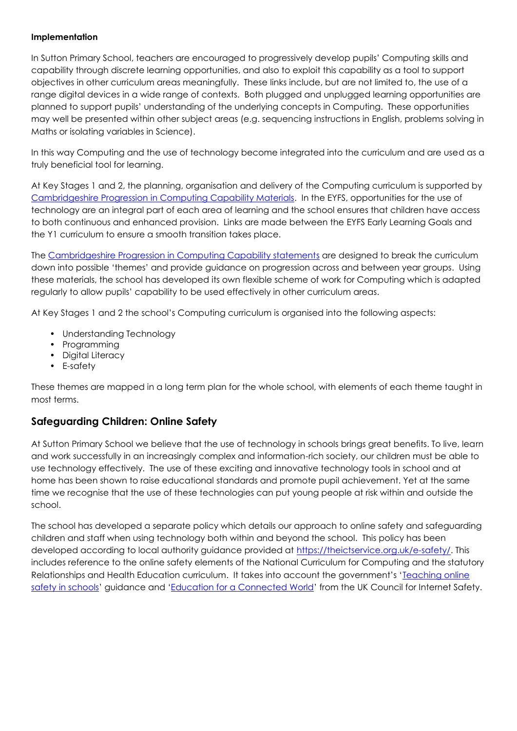#### **Implementation**

In Sutton Primary School, teachers are encouraged to progressively develop pupils' Computing skills and capability through discrete learning opportunities, and also to exploit this capability as a tool to support objectives in other curriculum areas meaningfully. These links include, but are not limited to, the use of a range digital devices in a wide range of contexts. Both plugged and unplugged learning opportunities are planned to support pupils' understanding of the underlying concepts in Computing. These opportunities may well be presented within other subject areas (e.g. sequencing instructions in English, problems solving in Maths or isolating variables in Science).

In this way Computing and the use of technology become integrated into the curriculum and are used as a truly beneficial tool for learning.

At Key Stages 1 and 2, the planning, organisation and delivery of the Computing curriculum is supported by Cambridgeshire Progression [in Computing Capability Materials.](https://theictservice.org.uk/primary-computing-curriculum/) In the EYFS, opportunities for the use of technology are an integral part of each area of learning and the school ensures that children have access to both continuous and enhanced provision. Links are made between the EYFS Early Learning Goals and the Y1 curriculum to ensure a smooth transition takes place.

The [Cambridgeshire Progression in Computing Capability statements](https://theictservice.org.uk/wp-content/uploads/2020/10/Capability-Statements.pdf) are designed to break the curriculum down into possible 'themes' and provide guidance on progression across and between year groups. Using these materials, the school has developed its own flexible scheme of work for Computing which is adapted regularly to allow pupils' capability to be used effectively in other curriculum areas.

At Key Stages 1 and 2 the school's Computing curriculum is organised into the following aspects:

- Understanding Technology
- Programming
- Digital Literacy
- E-safety

These themes are mapped in a long term plan for the whole school, with elements of each theme taught in most terms.

#### **Safeguarding Children: Online Safety**

At Sutton Primary School we believe that the use of technology in schools brings great benefits. To live, learn and work successfully in an increasingly complex and information-rich society, our children must be able to use technology effectively. The use of these exciting and innovative technology tools in school and at home has been shown to raise educational standards and promote pupil achievement. Yet at the same time we recognise that the use of these technologies can put young people at risk within and outside the school.

The school has developed a separate policy which details our approach to online safety and safeguarding children and staff when using technology both within and beyond the school. This policy has been developed according to local authority guidance provided at [https://theictservice.org.uk/e-safety/.](https://theictservice.org.uk/e-safety/) This includes reference to the online safety elements of the National Curriculum for Computing and the statutory Relationships and Health Education curriculum. It takes into account the government's '[Teaching online](https://www.gov.uk/government/publications/teaching-online-safety-in-schools)  [safety in schools](https://www.gov.uk/government/publications/teaching-online-safety-in-schools)' guidance and '[Education for a Connected World](https://www.gov.uk/government/publications/education-for-a-connected-world)' from the UK Council for Internet Safety.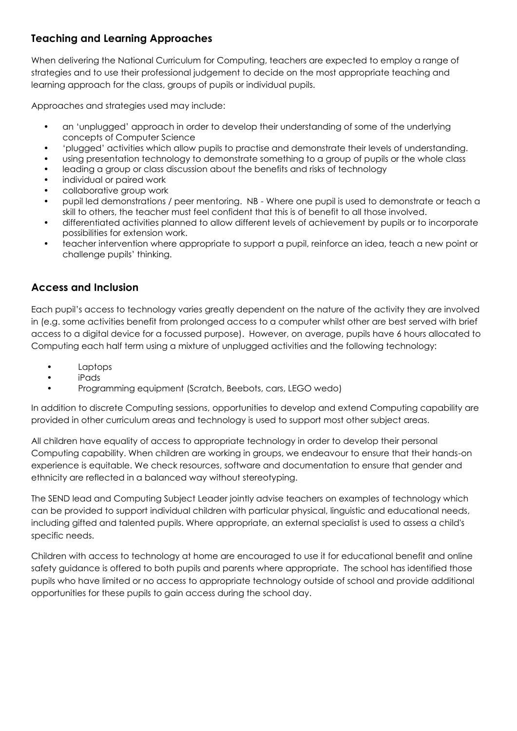## **Teaching and Learning Approaches**

When delivering the National Curriculum for Computing, teachers are expected to employ a range of strategies and to use their professional judgement to decide on the most appropriate teaching and learning approach for the class, groups of pupils or individual pupils.

Approaches and strategies used may include:

- an 'unplugged' approach in order to develop their understanding of some of the underlying concepts of Computer Science
- 'plugged' activities which allow pupils to practise and demonstrate their levels of understanding.
- using presentation technology to demonstrate something to a group of pupils or the whole class
- leading a group or class discussion about the benefits and risks of technology
- individual or paired work
- collaborative group work
- pupil led demonstrations / peer mentoring. NB Where one pupil is used to demonstrate or teach a skill to others, the teacher must feel confident that this is of benefit to all those involved.
- differentiated activities planned to allow different levels of achievement by pupils or to incorporate possibilities for extension work.
- teacher intervention where appropriate to support a pupil, reinforce an idea, teach a new point or challenge pupils' thinking.

### **Access and Inclusion**

Each pupil's access to technology varies greatly dependent on the nature of the activity they are involved in (e.g. some activities benefit from prolonged access to a computer whilst other are best served with brief access to a digital device for a focussed purpose). However, on average, pupils have 6 hours allocated to Computing each half term using a mixture of unplugged activities and the following technology:

- Laptops
- iPads
- Programming equipment (Scratch, Beebots, cars, LEGO wedo)

In addition to discrete Computing sessions, opportunities to develop and extend Computing capability are provided in other curriculum areas and technology is used to support most other subject areas.

All children have equality of access to appropriate technology in order to develop their personal Computing capability. When children are working in groups, we endeavour to ensure that their hands-on experience is equitable. We check resources, software and documentation to ensure that gender and ethnicity are reflected in a balanced way without stereotyping.

The SEND lead and Computing Subject Leader jointly advise teachers on examples of technology which can be provided to support individual children with particular physical, linguistic and educational needs, including gifted and talented pupils. Where appropriate, an external specialist is used to assess a child's specific needs.

Children with access to technology at home are encouraged to use it for educational benefit and online safety guidance is offered to both pupils and parents where appropriate. The school has identified those pupils who have limited or no access to appropriate technology outside of school and provide additional opportunities for these pupils to gain access during the school day.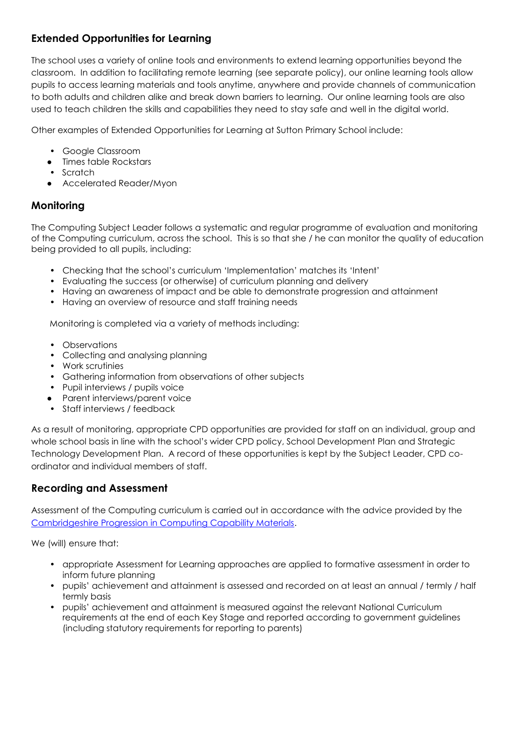## **Extended Opportunities for Learning**

The school uses a variety of online tools and environments to extend learning opportunities beyond the classroom. In addition to facilitating remote learning (see separate policy), our online learning tools allow pupils to access learning materials and tools anytime, anywhere and provide channels of communication to both adults and children alike and break down barriers to learning. Our online learning tools are also used to teach children the skills and capabilities they need to stay safe and well in the digital world.

Other examples of Extended Opportunities for Learning at Sutton Primary School include:

- Google Classroom
- Times table Rockstars
- Scratch
- Accelerated Reader/Myon

#### **Monitoring**

The Computing Subject Leader follows a systematic and regular programme of evaluation and monitoring of the Computing curriculum, across the school. This is so that she / he can monitor the quality of education being provided to all pupils, including:

- Checking that the school's curriculum 'Implementation' matches its 'Intent'
- Evaluating the success (or otherwise) of curriculum planning and delivery
- Having an awareness of impact and be able to demonstrate progression and attainment
- Having an overview of resource and staff training needs

Monitoring is completed via a variety of methods including:

- Observations
- Collecting and analysing planning
- Work scrutinies
- Gathering information from observations of other subjects
- Pupil interviews / pupils voice
- Parent interviews/parent voice
- Staff interviews / feedback

As a result of monitoring, appropriate CPD opportunities are provided for staff on an individual, group and whole school basis in line with the school's wider CPD policy, School Development Plan and Strategic Technology Development Plan. A record of these opportunities is kept by the Subject Leader, CPD coordinator and individual members of staff.

#### **Recording and Assessment**

Assessment of the Computing curriculum is carried out in accordance with the advice provided by the [Cambridgeshire Progression in Computing Capability Materials.](https://theictservice.org.uk/primary-computing-curriculum/)

We (will) ensure that:

- appropriate Assessment for Learning approaches are applied to formative assessment in order to inform future planning
- pupils' achievement and attainment is assessed and recorded on at least an annual / termly / half termly basis
- pupils' achievement and attainment is measured against the relevant National Curriculum requirements at the end of each Key Stage and reported according to government guidelines (including statutory requirements for reporting to parents)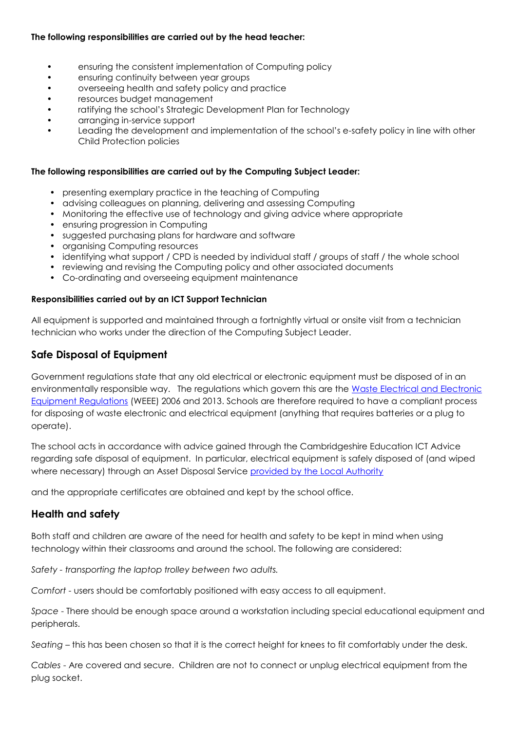#### **The following responsibilities are carried out by the head teacher:**

- ensuring the consistent implementation of Computing policy
- ensuring continuity between year groups
- overseeing health and safety policy and practice
- resources budget management
- ratifying the school's Strategic Development Plan for Technology
- arranging in-service support
- Leading the development and implementation of the school's e-safety policy in line with other Child Protection policies

#### **The following responsibilities are carried out by the Computing Subject Leader:**

- presenting exemplary practice in the teaching of Computing
- advising colleagues on planning, delivering and assessing Computing
- Monitoring the effective use of technology and giving advice where appropriate
- ensuring progression in Computing
- suggested purchasing plans for hardware and software
- organising Computing resources
- identifying what support / CPD is needed by individual staff / groups of staff / the whole school
- reviewing and revising the Computing policy and other associated documents
- Co-ordinating and overseeing equipment maintenance

#### **Responsibilities carried out by an ICT Support Technician**

All equipment is supported and maintained through a fortnightly virtual or onsite visit from a technician technician who works under the direction of the Computing Subject Leader.

#### **Safe Disposal of Equipment**

Government regulations state that any old electrical or electronic equipment must be disposed of in an environmentally responsible way. The regulations which govern this are the [Waste Electrical and Electronic](https://www.gov.uk/government/publications/weee-regulations-2013-government-guidance-notes)  [Equipment Regulations](https://www.gov.uk/government/publications/weee-regulations-2013-government-guidance-notes) (WEEE) 2006 and 2013. Schools are therefore required to have a compliant process for disposing of waste electronic and electrical equipment (anything that requires batteries or a plug to operate).

The school acts in accordance with advice gained through the Cambridgeshire Education ICT Advice regarding safe disposal of equipment. In particular, electrical equipment is safely disposed of (and wiped where necessary) through an Asset Disposal Service [provided by the Local Authority](https://theictservice.org.uk/service/disposal/)

and the appropriate certificates are obtained and kept by the school office.

#### **Health and safety**

Both staff and children are aware of the need for health and safety to be kept in mind when using technology within their classrooms and around the school. The following are considered:

*Safety - transporting the laptop trolley between two adults.*

*Comfort* - users should be comfortably positioned with easy access to all equipment.

*Space* - There should be enough space around a workstation including special educational equipment and peripherals.

*Seating* – this has been chosen so that it is the correct height for knees to fit comfortably under the desk.

*Cables* - Are covered and secure. Children are not to connect or unplug electrical equipment from the plug socket.